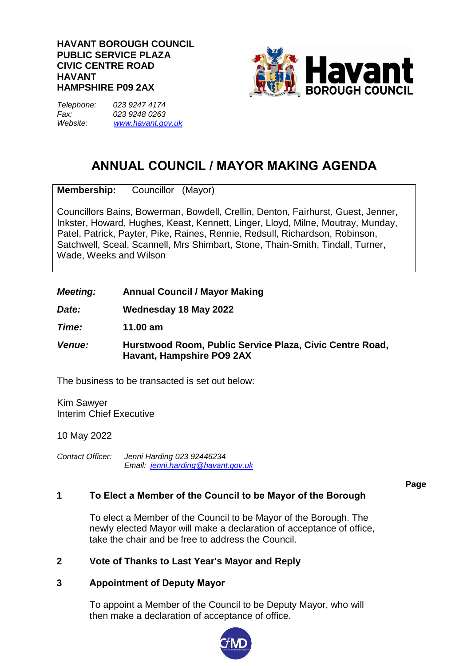#### **HAVANT BOROUGH COUNCIL PUBLIC SERVICE PLAZA CIVIC CENTRE ROAD HAVANT HAMPSHIRE P09 2AX**



*Telephone: 023 9247 4174 Fax: 023 9248 0263 Website: [www.havant.gov.uk](http://www.easthants.gov.uk/)*

# **ANNUAL COUNCIL / MAYOR MAKING AGENDA**

**Membership:** Councillor (Mayor)

Councillors Bains, Bowerman, Bowdell, Crellin, Denton, Fairhurst, Guest, Jenner, Inkster, Howard, Hughes, Keast, Kennett, Linger, Lloyd, Milne, Moutray, Munday, Patel, Patrick, Payter, Pike, Raines, Rennie, Redsull, Richardson, Robinson, Satchwell, Sceal, Scannell, Mrs Shimbart, Stone, Thain-Smith, Tindall, Turner, Wade, Weeks and Wilson

# *Meeting:* **Annual Council / Mayor Making**

*Date:* **Wednesday 18 May 2022**

*Time:* **11.00 am**

*Venue:* **Hurstwood Room, Public Service Plaza, Civic Centre Road, Havant, Hampshire PO9 2AX**

The business to be transacted is set out below:

Kim Sawyer Interim Chief Executive

10 May 2022

*Contact Officer: Jenni Harding 023 92446234 Email: jenni.harding@havant.gov.uk*

**Page**

# **1 To Elect a Member of the Council to be Mayor of the Borough**

To elect a Member of the Council to be Mayor of the Borough. The newly elected Mayor will make a declaration of acceptance of office, take the chair and be free to address the Council.

# **2 Vote of Thanks to Last Year's Mayor and Reply**

# **3 Appointment of Deputy Mayor**

To appoint a Member of the Council to be Deputy Mayor, who will then make a declaration of acceptance of office.

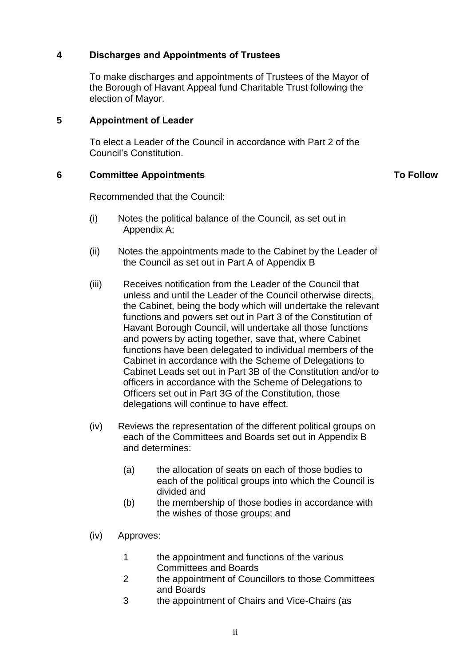# **4 Discharges and Appointments of Trustees**

To make discharges and appointments of Trustees of the Mayor of the Borough of Havant Appeal fund Charitable Trust following the election of Mayor.

# **5 Appointment of Leader**

To elect a Leader of the Council in accordance with Part 2 of the Council's Constitution.

# **6 Committee Appointments**

**To Follow**

Recommended that the Council:

- (i) Notes the political balance of the Council, as set out in Appendix A;
- (ii) Notes the appointments made to the Cabinet by the Leader of the Council as set out in Part A of Appendix B
- (iii) Receives notification from the Leader of the Council that unless and until the Leader of the Council otherwise directs, the Cabinet, being the body which will undertake the relevant functions and powers set out in Part 3 of the Constitution of Havant Borough Council, will undertake all those functions and powers by acting together, save that, where Cabinet functions have been delegated to individual members of the Cabinet in accordance with the Scheme of Delegations to Cabinet Leads set out in Part 3B of the Constitution and/or to officers in accordance with the Scheme of Delegations to Officers set out in Part 3G of the Constitution, those delegations will continue to have effect.
- (iv) Reviews the representation of the different political groups on each of the Committees and Boards set out in Appendix B and determines:
	- (a) the allocation of seats on each of those bodies to each of the political groups into which the Council is divided and
	- (b) the membership of those bodies in accordance with the wishes of those groups; and
- (iv) Approves:
	- 1 the appointment and functions of the various Committees and Boards
	- 2 the appointment of Councillors to those Committees and Boards
	- 3 the appointment of Chairs and Vice-Chairs (as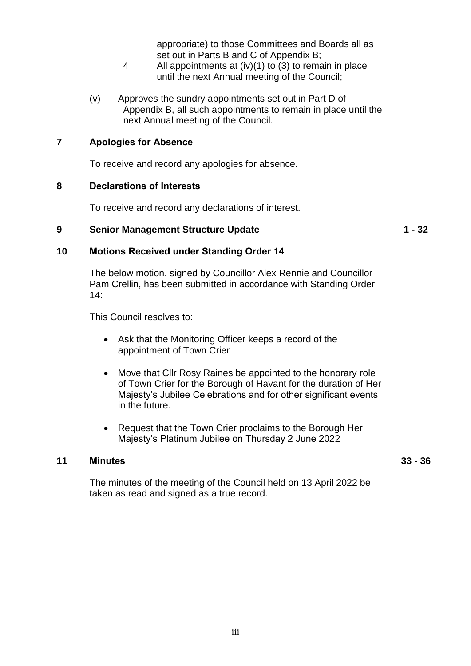appropriate) to those Committees and Boards all as set out in Parts B and C of Appendix B;

- 4 All appointments at (iv)(1) to (3) to remain in place until the next Annual meeting of the Council;
- (v) Approves the sundry appointments set out in Part D of Appendix B, all such appointments to remain in place until the next Annual meeting of the Council.

# **7 Apologies for Absence**

To receive and record any apologies for absence.

#### **8 Declarations of Interests**

To receive and record any declarations of interest.

# **9 Senior Management Structure Update 1 - 32**

# **10 Motions Received under Standing Order 14**

The below motion, signed by Councillor Alex Rennie and Councillor Pam Crellin, has been submitted in accordance with Standing Order  $14<sup>·</sup>$ 

This Council resolves to:

- Ask that the Monitoring Officer keeps a record of the appointment of Town Crier
- Move that Cllr Rosy Raines be appointed to the honorary role of Town Crier for the Borough of Havant for the duration of Her Majesty's Jubilee Celebrations and for other significant events in the future.
- Request that the Town Crier proclaims to the Borough Her Majesty's Platinum Jubilee on Thursday 2 June 2022

#### **11 Minutes**

**33 - 36**

The minutes of the meeting of the Council held on 13 April 2022 be taken as read and signed as a true record.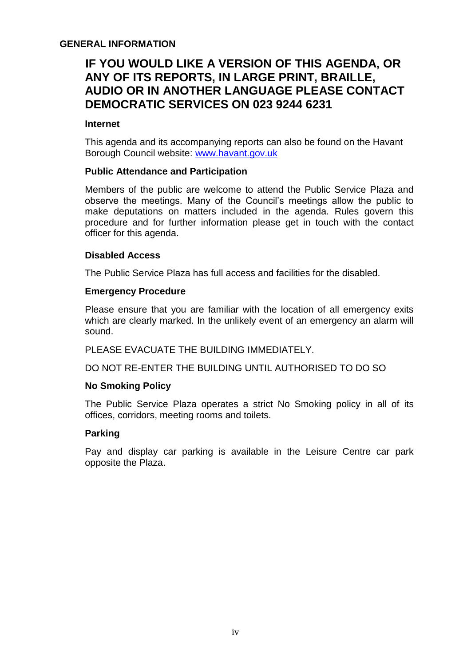# **GENERAL INFORMATION**

# **IF YOU WOULD LIKE A VERSION OF THIS AGENDA, OR ANY OF ITS REPORTS, IN LARGE PRINT, BRAILLE, AUDIO OR IN ANOTHER LANGUAGE PLEASE CONTACT DEMOCRATIC SERVICES ON 023 9244 6231**

#### **Internet**

This agenda and its accompanying reports can also be found on the Havant Borough Council website: [www.havant.gov.uk](http://www.havant.gov.uk/)

#### **Public Attendance and Participation**

Members of the public are welcome to attend the Public Service Plaza and observe the meetings. Many of the Council's meetings allow the public to make deputations on matters included in the agenda. Rules govern this procedure and for further information please get in touch with the contact officer for this agenda.

#### **Disabled Access**

The Public Service Plaza has full access and facilities for the disabled.

#### **Emergency Procedure**

Please ensure that you are familiar with the location of all emergency exits which are clearly marked. In the unlikely event of an emergency an alarm will sound.

PLEASE EVACUATE THE BUILDING IMMEDIATELY.

DO NOT RE-ENTER THE BUILDING UNTIL AUTHORISED TO DO SO

#### **No Smoking Policy**

The Public Service Plaza operates a strict No Smoking policy in all of its offices, corridors, meeting rooms and toilets.

# **Parking**

Pay and display car parking is available in the Leisure Centre car park opposite the Plaza.